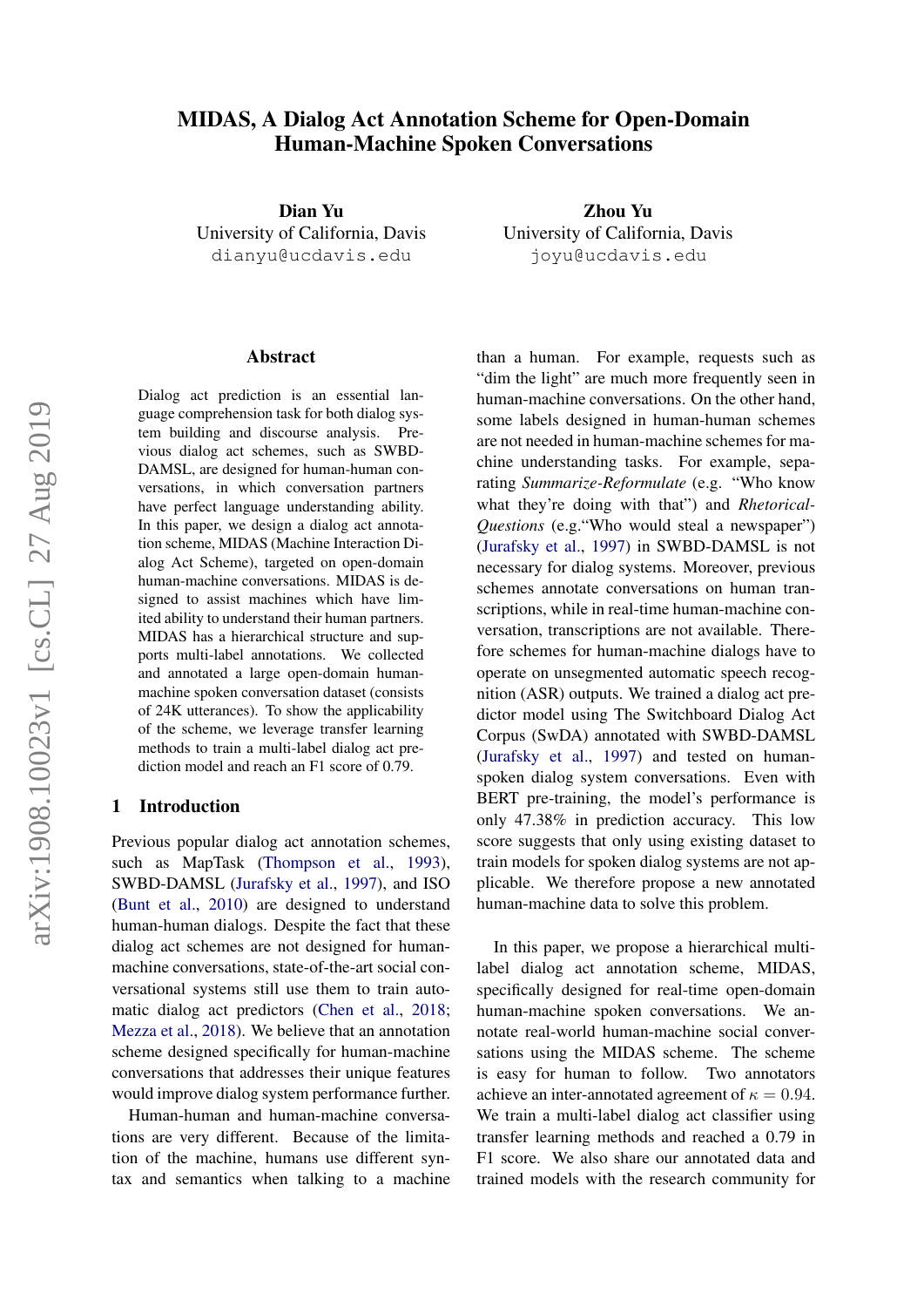### MIDAS, A Dialog Act Annotation Scheme for Open-Domain Human-Machine Spoken Conversations

Dian Yu University of California, Davis dianyu@ucdavis.edu

#### Abstract

Dialog act prediction is an essential language comprehension task for both dialog system building and discourse analysis. Previous dialog act schemes, such as SWBD-DAMSL, are designed for human-human conversations, in which conversation partners have perfect language understanding ability. In this paper, we design a dialog act annotation scheme, MIDAS (Machine Interaction Dialog Act Scheme), targeted on open-domain human-machine conversations. MIDAS is designed to assist machines which have limited ability to understand their human partners. MIDAS has a hierarchical structure and supports multi-label annotations. We collected and annotated a large open-domain humanmachine spoken conversation dataset (consists of 24K utterances). To show the applicability of the scheme, we leverage transfer learning methods to train a multi-label dialog act prediction model and reach an F1 score of 0.79.

#### 1 Introduction

Previous popular dialog act annotation schemes, such as MapTask [\(Thompson et al.,](#page-9-0) [1993\)](#page-9-0), SWBD-DAMSL [\(Jurafsky et al.,](#page-8-0) [1997\)](#page-8-0), and ISO [\(Bunt et al.,](#page-8-1) [2010\)](#page-8-1) are designed to understand human-human dialogs. Despite the fact that these dialog act schemes are not designed for humanmachine conversations, state-of-the-art social conversational systems still use them to train automatic dialog act predictors [\(Chen et al.,](#page-8-2) [2018;](#page-8-2) [Mezza et al.,](#page-8-3) [2018\)](#page-8-3). We believe that an annotation scheme designed specifically for human-machine conversations that addresses their unique features would improve dialog system performance further.

Human-human and human-machine conversations are very different. Because of the limitation of the machine, humans use different syntax and semantics when talking to a machine

Zhou Yu University of California, Davis joyu@ucdavis.edu

than a human. For example, requests such as "dim the light" are much more frequently seen in human-machine conversations. On the other hand, some labels designed in human-human schemes are not needed in human-machine schemes for machine understanding tasks. For example, separating *Summarize-Reformulate* (e.g. "Who know what they're doing with that") and *Rhetorical-Questions* (e.g."Who would steal a newspaper") [\(Jurafsky et al.,](#page-8-0) [1997\)](#page-8-0) in SWBD-DAMSL is not necessary for dialog systems. Moreover, previous schemes annotate conversations on human transcriptions, while in real-time human-machine conversation, transcriptions are not available. Therefore schemes for human-machine dialogs have to operate on unsegmented automatic speech recognition (ASR) outputs. We trained a dialog act predictor model using The Switchboard Dialog Act Corpus (SwDA) annotated with SWBD-DAMSL [\(Jurafsky et al.,](#page-8-0) [1997\)](#page-8-0) and tested on humanspoken dialog system conversations. Even with BERT pre-training, the model's performance is only 47.38% in prediction accuracy. This low score suggests that only using existing dataset to train models for spoken dialog systems are not applicable. We therefore propose a new annotated human-machine data to solve this problem.

In this paper, we propose a hierarchical multilabel dialog act annotation scheme, MIDAS, specifically designed for real-time open-domain human-machine spoken conversations. We annotate real-world human-machine social conversations using the MIDAS scheme. The scheme is easy for human to follow. Two annotators achieve an inter-annotated agreement of  $\kappa = 0.94$ . We train a multi-label dialog act classifier using transfer learning methods and reached a 0.79 in F1 score. We also share our annotated data and trained models with the research community for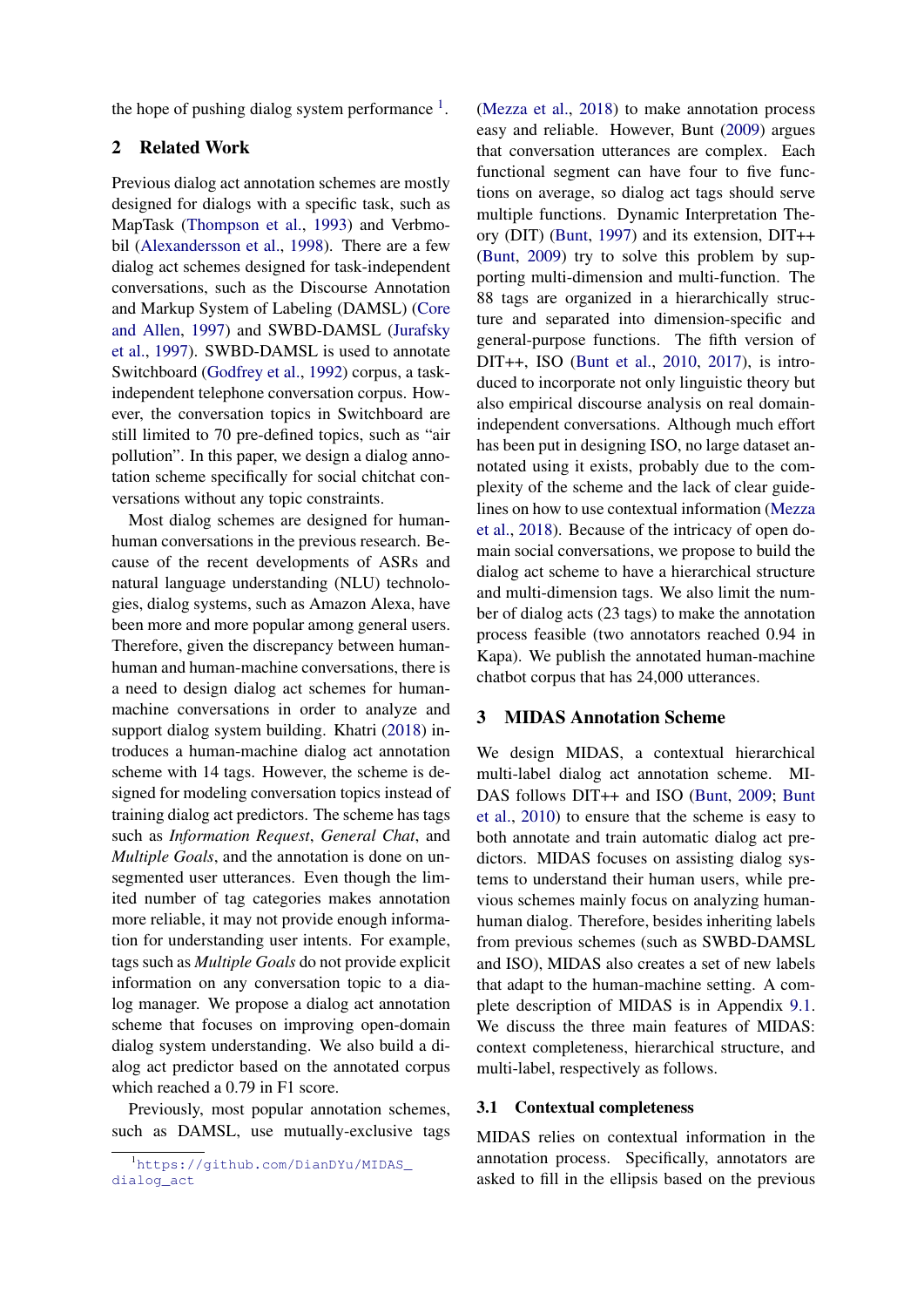the hope of pushing dialog system performance  $<sup>1</sup>$  $<sup>1</sup>$  $<sup>1</sup>$ .</sup>

### 2 Related Work

Previous dialog act annotation schemes are mostly designed for dialogs with a specific task, such as MapTask [\(Thompson et al.,](#page-9-0) [1993\)](#page-9-0) and Verbmobil [\(Alexandersson et al.,](#page-8-4) [1998\)](#page-8-4). There are a few dialog act schemes designed for task-independent conversations, such as the Discourse Annotation and Markup System of Labeling (DAMSL) [\(Core](#page-8-5) [and Allen,](#page-8-5) [1997\)](#page-8-5) and SWBD-DAMSL [\(Jurafsky](#page-8-0) [et al.,](#page-8-0) [1997\)](#page-8-0). SWBD-DAMSL is used to annotate Switchboard [\(Godfrey et al.,](#page-8-6) [1992\)](#page-8-6) corpus, a taskindependent telephone conversation corpus. However, the conversation topics in Switchboard are still limited to 70 pre-defined topics, such as "air pollution". In this paper, we design a dialog annotation scheme specifically for social chitchat conversations without any topic constraints.

Most dialog schemes are designed for humanhuman conversations in the previous research. Because of the recent developments of ASRs and natural language understanding (NLU) technologies, dialog systems, such as Amazon Alexa, have been more and more popular among general users. Therefore, given the discrepancy between humanhuman and human-machine conversations, there is a need to design dialog act schemes for humanmachine conversations in order to analyze and support dialog system building. Khatri [\(2018\)](#page-8-7) introduces a human-machine dialog act annotation scheme with 14 tags. However, the scheme is designed for modeling conversation topics instead of training dialog act predictors. The scheme has tags such as *Information Request*, *General Chat*, and *Multiple Goals*, and the annotation is done on unsegmented user utterances. Even though the limited number of tag categories makes annotation more reliable, it may not provide enough information for understanding user intents. For example, tags such as *Multiple Goals* do not provide explicit information on any conversation topic to a dialog manager. We propose a dialog act annotation scheme that focuses on improving open-domain dialog system understanding. We also build a dialog act predictor based on the annotated corpus which reached a 0.79 in F1 score.

Previously, most popular annotation schemes, such as DAMSL, use mutually-exclusive tags

[\(Mezza et al.,](#page-8-3) [2018\)](#page-8-3) to make annotation process easy and reliable. However, Bunt [\(2009\)](#page-8-8) argues that conversation utterances are complex. Each functional segment can have four to five functions on average, so dialog act tags should serve multiple functions. Dynamic Interpretation Theory (DIT) [\(Bunt,](#page-8-9) [1997\)](#page-8-9) and its extension, DIT++ [\(Bunt,](#page-8-8) [2009\)](#page-8-8) try to solve this problem by supporting multi-dimension and multi-function. The 88 tags are organized in a hierarchically structure and separated into dimension-specific and general-purpose functions. The fifth version of DIT++, ISO [\(Bunt et al.,](#page-8-1) [2010,](#page-8-1) [2017\)](#page-8-10), is introduced to incorporate not only linguistic theory but also empirical discourse analysis on real domainindependent conversations. Although much effort has been put in designing ISO, no large dataset annotated using it exists, probably due to the complexity of the scheme and the lack of clear guidelines on how to use contextual information [\(Mezza](#page-8-3) [et al.,](#page-8-3) [2018\)](#page-8-3). Because of the intricacy of open domain social conversations, we propose to build the dialog act scheme to have a hierarchical structure and multi-dimension tags. We also limit the number of dialog acts (23 tags) to make the annotation process feasible (two annotators reached 0.94 in Kapa). We publish the annotated human-machine chatbot corpus that has 24,000 utterances.

#### 3 MIDAS Annotation Scheme

We design MIDAS, a contextual hierarchical multi-label dialog act annotation scheme. MI-DAS follows DIT++ and ISO [\(Bunt,](#page-8-8) [2009;](#page-8-8) [Bunt](#page-8-1) [et al.,](#page-8-1) [2010\)](#page-8-1) to ensure that the scheme is easy to both annotate and train automatic dialog act predictors. MIDAS focuses on assisting dialog systems to understand their human users, while previous schemes mainly focus on analyzing humanhuman dialog. Therefore, besides inheriting labels from previous schemes (such as SWBD-DAMSL and ISO), MIDAS also creates a set of new labels that adapt to the human-machine setting. A complete description of MIDAS is in Appendix [9.1.](#page-10-0) We discuss the three main features of MIDAS: context completeness, hierarchical structure, and multi-label, respectively as follows.

#### 3.1 Contextual completeness

MIDAS relies on contextual information in the annotation process. Specifically, annotators are asked to fill in the ellipsis based on the previous

<span id="page-1-0"></span><sup>1</sup>[https://github.com/DianDYu/MIDAS\\_](https://github.com/DianDYu/MIDAS_dialog_act) [dialog\\_act](https://github.com/DianDYu/MIDAS_dialog_act)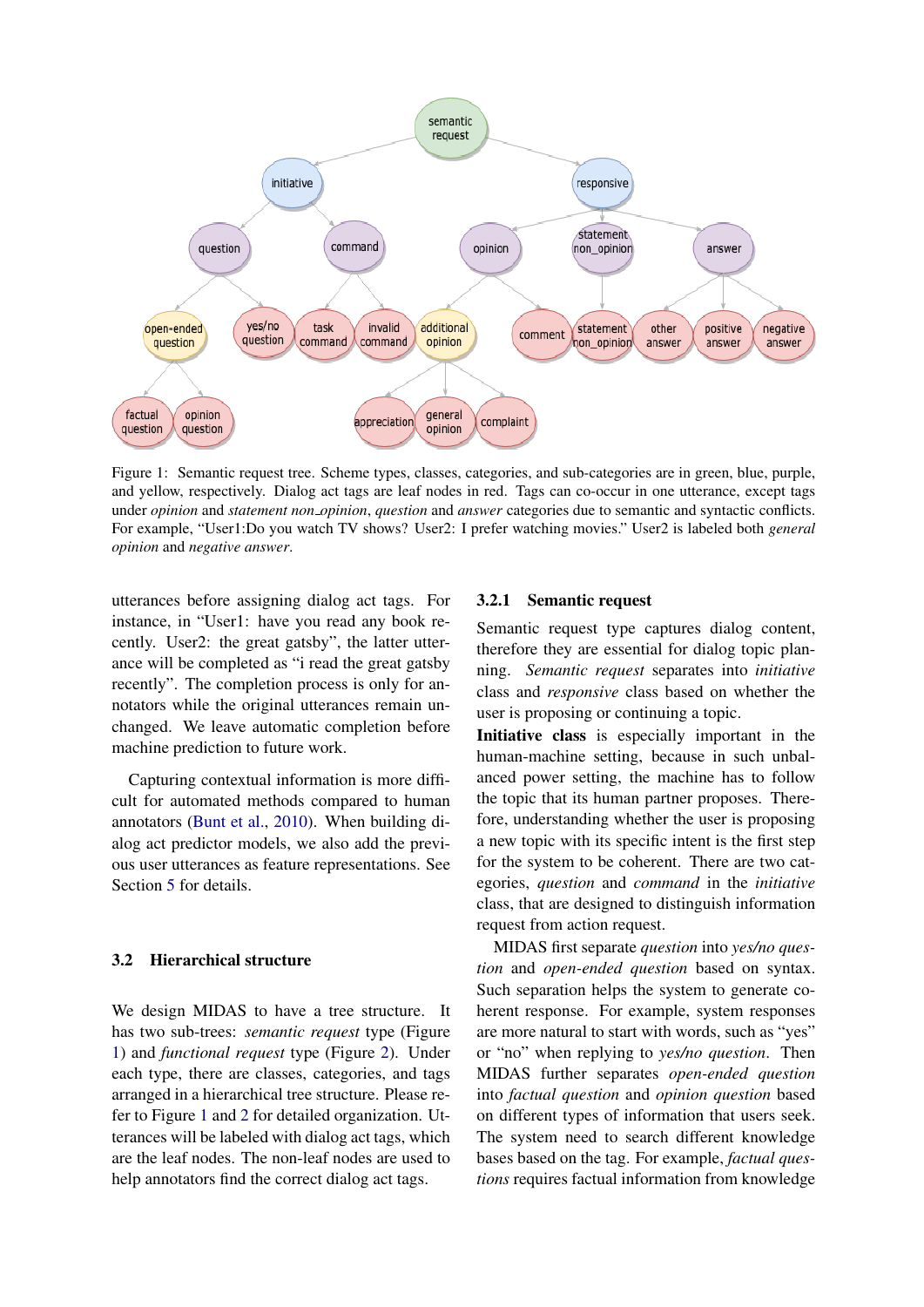<span id="page-2-0"></span>

Figure 1: Semantic request tree. Scheme types, classes, categories, and sub-categories are in green, blue, purple, and yellow, respectively. Dialog act tags are leaf nodes in red. Tags can co-occur in one utterance, except tags under *opinion* and *statement non opinion*, *question* and *answer* categories due to semantic and syntactic conflicts. For example, "User1:Do you watch TV shows? User2: I prefer watching movies." User2 is labeled both *general opinion* and *negative answer*.

utterances before assigning dialog act tags. For instance, in "User1: have you read any book recently. User2: the great gatsby", the latter utterance will be completed as "i read the great gatsby recently". The completion process is only for annotators while the original utterances remain unchanged. We leave automatic completion before machine prediction to future work.

Capturing contextual information is more difficult for automated methods compared to human annotators [\(Bunt et al.,](#page-8-1) [2010\)](#page-8-1). When building dialog act predictor models, we also add the previous user utterances as feature representations. See Section [5](#page-5-0) for details.

#### 3.2 Hierarchical structure

We design MIDAS to have a tree structure. It has two sub-trees: *semantic request* type (Figure [1\)](#page-2-0) and *functional request* type (Figure [2\)](#page-3-0). Under each type, there are classes, categories, and tags arranged in a hierarchical tree structure. Please refer to Figure [1](#page-2-0) and [2](#page-3-0) for detailed organization. Utterances will be labeled with dialog act tags, which are the leaf nodes. The non-leaf nodes are used to help annotators find the correct dialog act tags.

#### 3.2.1 Semantic request

Semantic request type captures dialog content, therefore they are essential for dialog topic planning. *Semantic request* separates into *initiative* class and *responsive* class based on whether the user is proposing or continuing a topic.

Initiative class is especially important in the human-machine setting, because in such unbalanced power setting, the machine has to follow the topic that its human partner proposes. Therefore, understanding whether the user is proposing a new topic with its specific intent is the first step for the system to be coherent. There are two categories, *question* and *command* in the *initiative* class, that are designed to distinguish information request from action request.

MIDAS first separate *question* into *yes/no question* and *open-ended question* based on syntax. Such separation helps the system to generate coherent response. For example, system responses are more natural to start with words, such as "yes" or "no" when replying to *yes/no question*. Then MIDAS further separates *open-ended question* into *factual question* and *opinion question* based on different types of information that users seek. The system need to search different knowledge bases based on the tag. For example, *factual questions* requires factual information from knowledge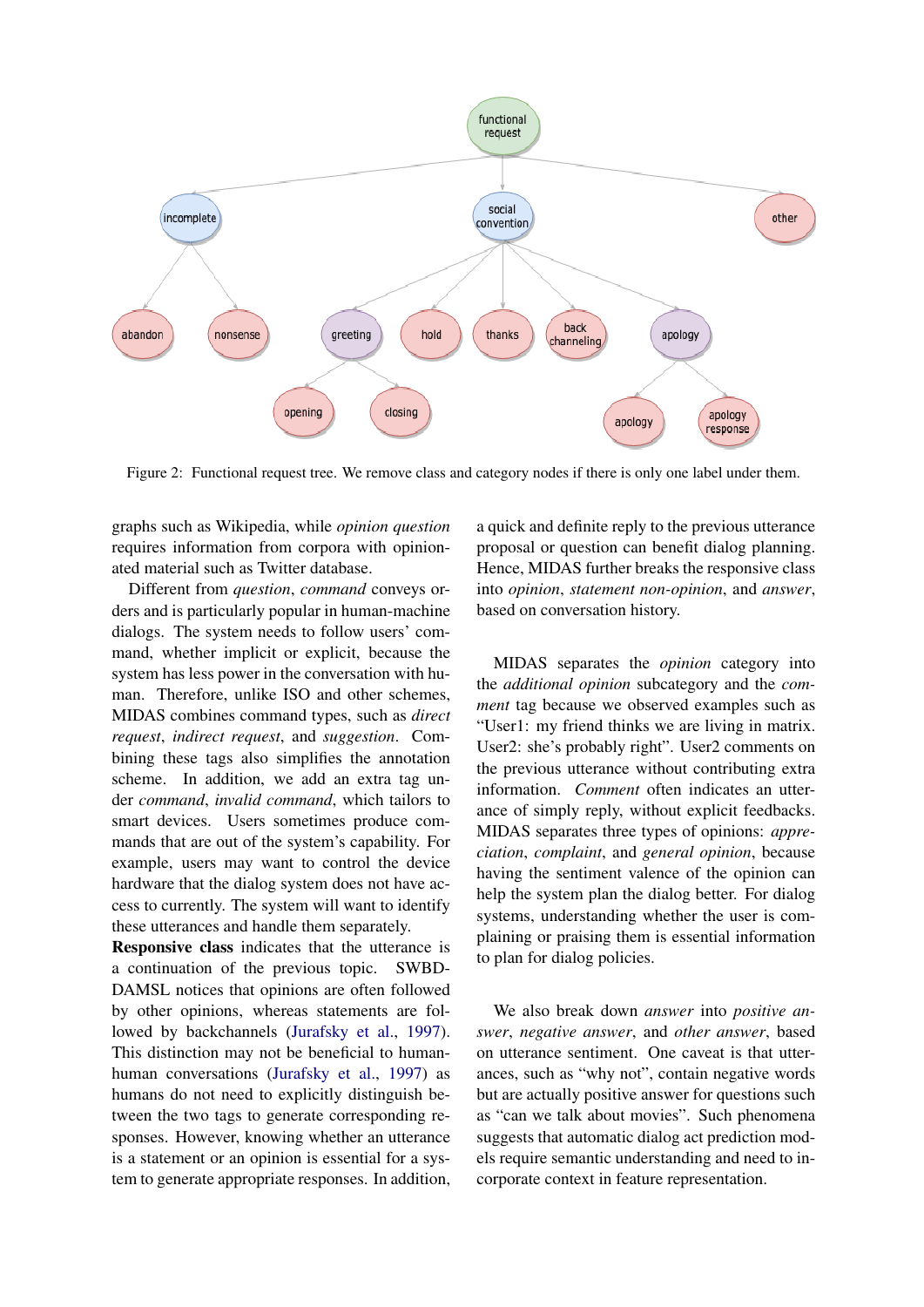<span id="page-3-0"></span>

Figure 2: Functional request tree. We remove class and category nodes if there is only one label under them.

graphs such as Wikipedia, while *opinion question* requires information from corpora with opinionated material such as Twitter database.

Different from *question*, *command* conveys orders and is particularly popular in human-machine dialogs. The system needs to follow users' command, whether implicit or explicit, because the system has less power in the conversation with human. Therefore, unlike ISO and other schemes, MIDAS combines command types, such as *direct request*, *indirect request*, and *suggestion*. Combining these tags also simplifies the annotation scheme. In addition, we add an extra tag under *command*, *invalid command*, which tailors to smart devices. Users sometimes produce commands that are out of the system's capability. For example, users may want to control the device hardware that the dialog system does not have access to currently. The system will want to identify these utterances and handle them separately.

Responsive class indicates that the utterance is a continuation of the previous topic. SWBD-DAMSL notices that opinions are often followed by other opinions, whereas statements are followed by backchannels [\(Jurafsky et al.,](#page-8-0) [1997\)](#page-8-0). This distinction may not be beneficial to humanhuman conversations [\(Jurafsky et al.,](#page-8-0) [1997\)](#page-8-0) as humans do not need to explicitly distinguish between the two tags to generate corresponding responses. However, knowing whether an utterance is a statement or an opinion is essential for a system to generate appropriate responses. In addition,

a quick and definite reply to the previous utterance proposal or question can benefit dialog planning. Hence, MIDAS further breaks the responsive class into *opinion*, *statement non-opinion*, and *answer*, based on conversation history.

MIDAS separates the *opinion* category into the *additional opinion* subcategory and the *comment* tag because we observed examples such as "User1: my friend thinks we are living in matrix. User2: she's probably right". User2 comments on the previous utterance without contributing extra information. *Comment* often indicates an utterance of simply reply, without explicit feedbacks. MIDAS separates three types of opinions: *appreciation*, *complaint*, and *general opinion*, because having the sentiment valence of the opinion can help the system plan the dialog better. For dialog systems, understanding whether the user is complaining or praising them is essential information to plan for dialog policies.

We also break down *answer* into *positive answer*, *negative answer*, and *other answer*, based on utterance sentiment. One caveat is that utterances, such as "why not", contain negative words but are actually positive answer for questions such as "can we talk about movies". Such phenomena suggests that automatic dialog act prediction models require semantic understanding and need to incorporate context in feature representation.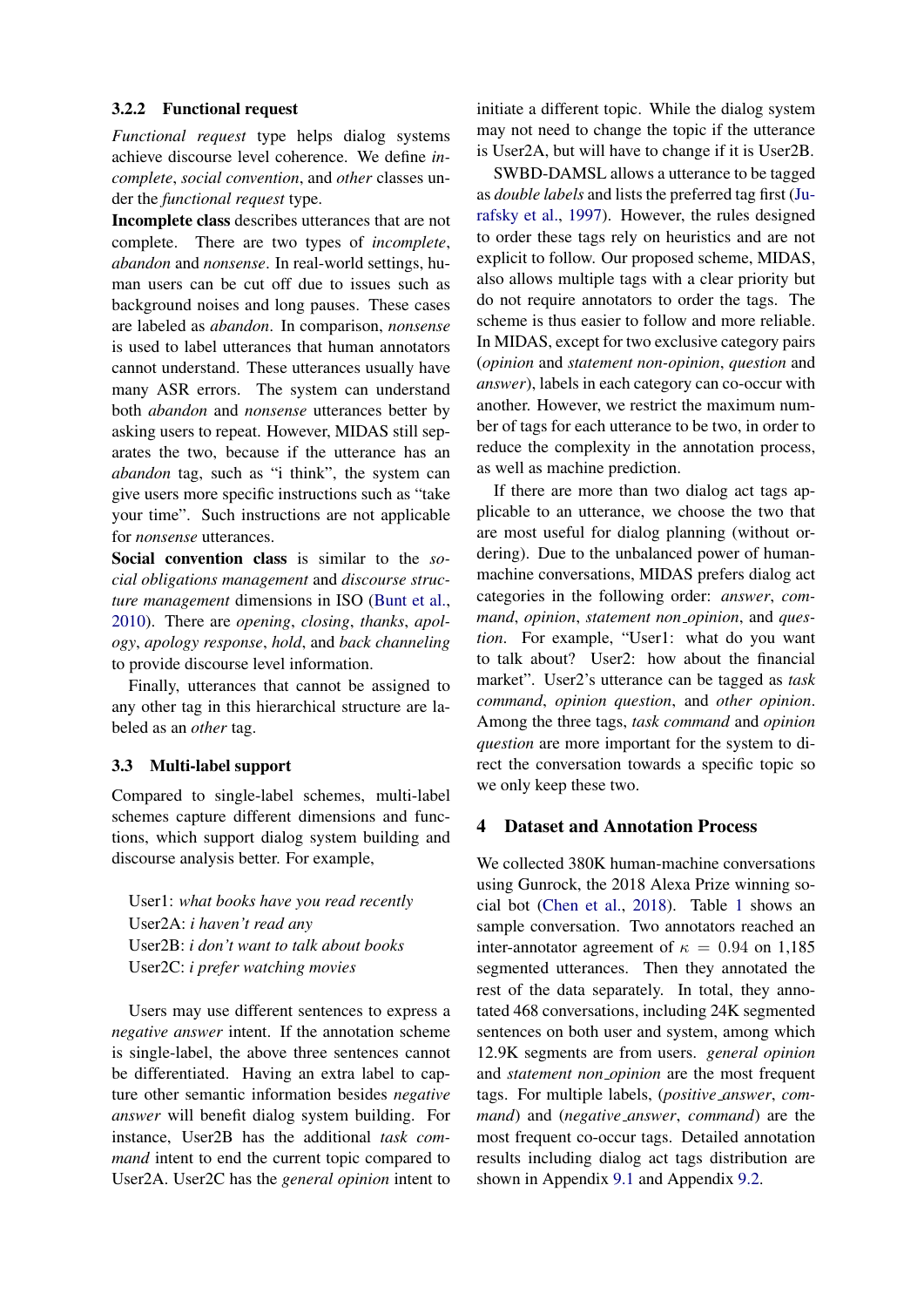#### 3.2.2 Functional request

*Functional request* type helps dialog systems achieve discourse level coherence. We define *incomplete*, *social convention*, and *other* classes under the *functional request* type.

Incomplete class describes utterances that are not complete. There are two types of *incomplete*, *abandon* and *nonsense*. In real-world settings, human users can be cut off due to issues such as background noises and long pauses. These cases are labeled as *abandon*. In comparison, *nonsense* is used to label utterances that human annotators cannot understand. These utterances usually have many ASR errors. The system can understand both *abandon* and *nonsense* utterances better by asking users to repeat. However, MIDAS still separates the two, because if the utterance has an *abandon* tag, such as "i think", the system can give users more specific instructions such as "take your time". Such instructions are not applicable for *nonsense* utterances.

Social convention class is similar to the *social obligations management* and *discourse structure management* dimensions in ISO [\(Bunt et al.,](#page-8-1) [2010\)](#page-8-1). There are *opening*, *closing*, *thanks*, *apology*, *apology response*, *hold*, and *back channeling* to provide discourse level information.

Finally, utterances that cannot be assigned to any other tag in this hierarchical structure are labeled as an *other* tag.

#### 3.3 Multi-label support

Compared to single-label schemes, multi-label schemes capture different dimensions and functions, which support dialog system building and discourse analysis better. For example,

User1: *what books have you read recently* User2A: *i haven't read any* User2B: *i don't want to talk about books* User2C: *i prefer watching movies*

Users may use different sentences to express a *negative answer* intent. If the annotation scheme is single-label, the above three sentences cannot be differentiated. Having an extra label to capture other semantic information besides *negative answer* will benefit dialog system building. For instance, User2B has the additional *task command* intent to end the current topic compared to User2A. User2C has the *general opinion* intent to initiate a different topic. While the dialog system may not need to change the topic if the utterance is User2A, but will have to change if it is User2B.

SWBD-DAMSL allows a utterance to be tagged as *double labels* and lists the preferred tag first [\(Ju](#page-8-0)[rafsky et al.,](#page-8-0) [1997\)](#page-8-0). However, the rules designed to order these tags rely on heuristics and are not explicit to follow. Our proposed scheme, MIDAS, also allows multiple tags with a clear priority but do not require annotators to order the tags. The scheme is thus easier to follow and more reliable. In MIDAS, except for two exclusive category pairs (*opinion* and *statement non-opinion*, *question* and *answer*), labels in each category can co-occur with another. However, we restrict the maximum number of tags for each utterance to be two, in order to reduce the complexity in the annotation process, as well as machine prediction.

If there are more than two dialog act tags applicable to an utterance, we choose the two that are most useful for dialog planning (without ordering). Due to the unbalanced power of humanmachine conversations, MIDAS prefers dialog act categories in the following order: *answer*, *command*, *opinion*, *statement non opinion*, and *question*. For example, "User1: what do you want to talk about? User2: how about the financial market". User2's utterance can be tagged as *task command*, *opinion question*, and *other opinion*. Among the three tags, *task command* and *opinion question* are more important for the system to direct the conversation towards a specific topic so we only keep these two.

#### 4 Dataset and Annotation Process

We collected 380K human-machine conversations using Gunrock, the 2018 Alexa Prize winning social bot [\(Chen et al.,](#page-8-2) [2018\)](#page-8-2). Table [1](#page-5-1) shows an sample conversation. Two annotators reached an inter-annotator agreement of  $\kappa = 0.94$  on 1,185 segmented utterances. Then they annotated the rest of the data separately. In total, they annotated 468 conversations, including 24K segmented sentences on both user and system, among which 12.9K segments are from users. *general opinion* and *statement non opinion* are the most frequent tags. For multiple labels, (*positive answer*, *command*) and (*negative answer*, *command*) are the most frequent co-occur tags. Detailed annotation results including dialog act tags distribution are shown in Appendix [9.1](#page-10-0) and Appendix [9.2.](#page-12-0)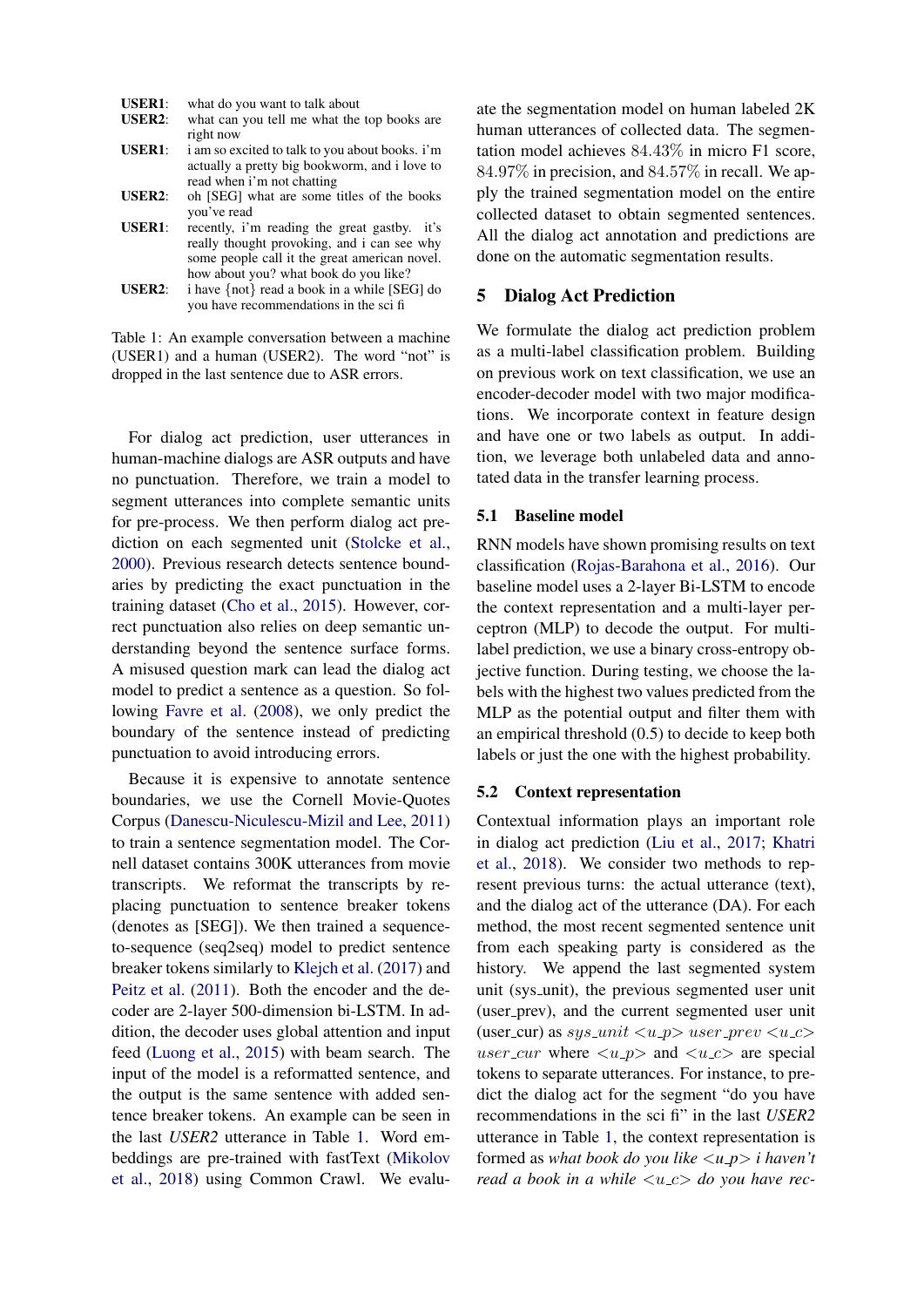<span id="page-5-1"></span>

| <b>USER1:</b> | what do you want to talk about                   |
|---------------|--------------------------------------------------|
| <b>USER2:</b> | what can you tell me what the top books are      |
|               | right now                                        |
| <b>USER1:</b> | i am so excited to talk to you about books. i'm  |
|               | actually a pretty big bookworm, and i love to    |
|               | read when i'm not chatting                       |
| <b>USER2:</b> | oh [SEG] what are some titles of the books       |
|               | you've read                                      |
| <b>USER1:</b> | recently, i'm reading the great gastby. it's     |
|               | really thought provoking, and i can see why      |
|               | sance weakly call to the sheet and attend wealth |

some people call it the great american novel. how about you? what book do you like? **USER2:** i have  $\{not\}$  read a book in a while [SEG] do you have recommendations in the sci fi

Table 1: An example conversation between a machine (USER1) and a human (USER2). The word "not" is dropped in the last sentence due to ASR errors.

For dialog act prediction, user utterances in human-machine dialogs are ASR outputs and have no punctuation. Therefore, we train a model to segment utterances into complete semantic units for pre-process. We then perform dialog act prediction on each segmented unit [\(Stolcke et al.,](#page-9-1) [2000\)](#page-9-1). Previous research detects sentence boundaries by predicting the exact punctuation in the training dataset [\(Cho et al.,](#page-8-11) [2015\)](#page-8-11). However, correct punctuation also relies on deep semantic understanding beyond the sentence surface forms. A misused question mark can lead the dialog act model to predict a sentence as a question. So following [Favre et al.](#page-8-12) [\(2008\)](#page-8-12), we only predict the boundary of the sentence instead of predicting punctuation to avoid introducing errors.

Because it is expensive to annotate sentence boundaries, we use the Cornell Movie-Quotes Corpus [\(Danescu-Niculescu-Mizil and Lee,](#page-8-13) [2011\)](#page-8-13) to train a sentence segmentation model. The Cornell dataset contains 300K utterances from movie transcripts. We reformat the transcripts by replacing punctuation to sentence breaker tokens (denotes as [SEG]). We then trained a sequenceto-sequence (seq2seq) model to predict sentence breaker tokens similarly to [Klejch et al.](#page-8-14) [\(2017\)](#page-8-14) and [Peitz et al.](#page-9-2) [\(2011\)](#page-9-2). Both the encoder and the decoder are 2-layer 500-dimension bi-LSTM. In addition, the decoder uses global attention and input feed [\(Luong et al.,](#page-8-15) [2015\)](#page-8-15) with beam search. The input of the model is a reformatted sentence, and the output is the same sentence with added sentence breaker tokens. An example can be seen in the last *USER2* utterance in Table [1.](#page-5-1) Word embeddings are pre-trained with fastText [\(Mikolov](#page-9-3) [et al.,](#page-9-3) [2018\)](#page-9-3) using Common Crawl. We evaluate the segmentation model on human labeled 2K human utterances of collected data. The segmentation model achieves 84.43% in micro F1 score, 84.97% in precision, and 84.57% in recall. We apply the trained segmentation model on the entire collected dataset to obtain segmented sentences. All the dialog act annotation and predictions are done on the automatic segmentation results.

#### <span id="page-5-0"></span>5 Dialog Act Prediction

We formulate the dialog act prediction problem as a multi-label classification problem. Building on previous work on text classification, we use an encoder-decoder model with two major modifications. We incorporate context in feature design and have one or two labels as output. In addition, we leverage both unlabeled data and annotated data in the transfer learning process.

#### 5.1 Baseline model

RNN models have shown promising results on text classification [\(Rojas-Barahona et al.,](#page-9-4) [2016\)](#page-9-4). Our baseline model uses a 2-layer Bi-LSTM to encode the context representation and a multi-layer perceptron (MLP) to decode the output. For multilabel prediction, we use a binary cross-entropy objective function. During testing, we choose the labels with the highest two values predicted from the MLP as the potential output and filter them with an empirical threshold (0.5) to decide to keep both labels or just the one with the highest probability.

#### <span id="page-5-2"></span>5.2 Context representation

Contextual information plays an important role in dialog act prediction [\(Liu et al.,](#page-8-16) [2017;](#page-8-16) [Khatri](#page-8-7) [et al.,](#page-8-7) [2018\)](#page-8-7). We consider two methods to represent previous turns: the actual utterance (text), and the dialog act of the utterance (DA). For each method, the most recent segmented sentence unit from each speaking party is considered as the history. We append the last segmented system unit (sys unit), the previous segmented user unit (user\_prev), and the current segmented user unit (user\_cur) as  $sys\_unit \langle u\_p \rangle$  user\_prev  $\langle u\_c \rangle$ user\_cur where  $\langle u$ \_p and  $\langle u$ \_c are special tokens to separate utterances. For instance, to predict the dialog act for the segment "do you have recommendations in the sci fi" in the last *USER2* utterance in Table [1,](#page-5-1) the context representation is formed as *what book do you like* <*u p*> *i haven't read a book in a while*  $\langle u \rangle$  *a do you have rec-*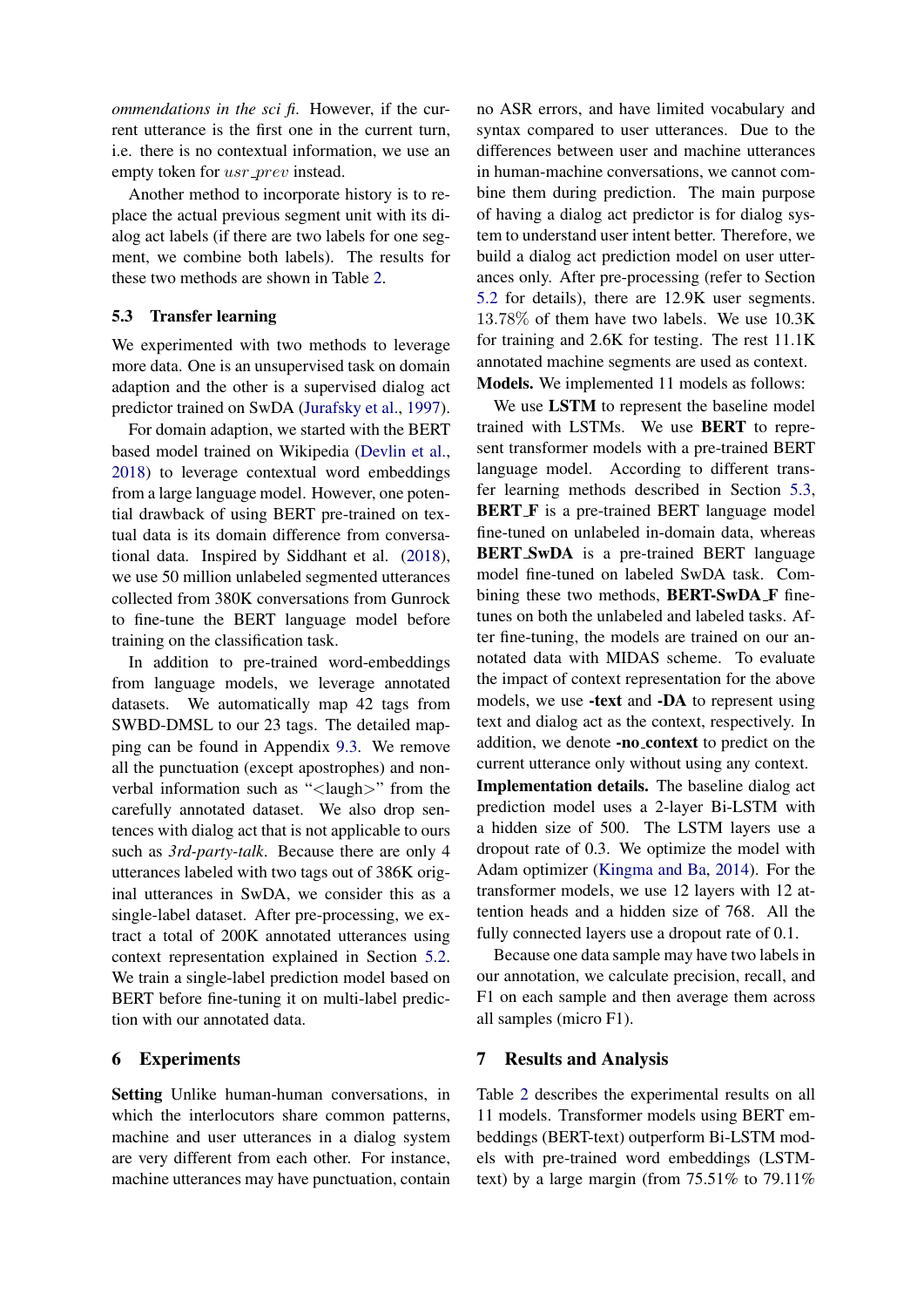*ommendations in the sci fi*. However, if the current utterance is the first one in the current turn, i.e. there is no contextual information, we use an empty token for usr\_prev instead.

Another method to incorporate history is to replace the actual previous segment unit with its dialog act labels (if there are two labels for one segment, we combine both labels). The results for these two methods are shown in Table [2.](#page-7-0)

#### <span id="page-6-0"></span>5.3 Transfer learning

We experimented with two methods to leverage more data. One is an unsupervised task on domain adaption and the other is a supervised dialog act predictor trained on SwDA [\(Jurafsky et al.,](#page-8-0) [1997\)](#page-8-0).

For domain adaption, we started with the BERT based model trained on Wikipedia [\(Devlin et al.,](#page-8-17) [2018\)](#page-8-17) to leverage contextual word embeddings from a large language model. However, one potential drawback of using BERT pre-trained on textual data is its domain difference from conversational data. Inspired by Siddhant et al. [\(2018\)](#page-9-5), we use 50 million unlabeled segmented utterances collected from 380K conversations from Gunrock to fine-tune the BERT language model before training on the classification task.

In addition to pre-trained word-embeddings from language models, we leverage annotated datasets. We automatically map 42 tags from SWBD-DMSL to our 23 tags. The detailed mapping can be found in Appendix [9.3.](#page-13-0) We remove all the punctuation (except apostrophes) and nonverbal information such as "<laugh>" from the carefully annotated dataset. We also drop sentences with dialog act that is not applicable to ours such as *3rd-party-talk*. Because there are only 4 utterances labeled with two tags out of 386K original utterances in SwDA, we consider this as a single-label dataset. After pre-processing, we extract a total of 200K annotated utterances using context representation explained in Section [5.2.](#page-5-2) We train a single-label prediction model based on BERT before fine-tuning it on multi-label prediction with our annotated data.

#### 6 Experiments

Setting Unlike human-human conversations, in which the interlocutors share common patterns, machine and user utterances in a dialog system are very different from each other. For instance, machine utterances may have punctuation, contain

no ASR errors, and have limited vocabulary and syntax compared to user utterances. Due to the differences between user and machine utterances in human-machine conversations, we cannot combine them during prediction. The main purpose of having a dialog act predictor is for dialog system to understand user intent better. Therefore, we build a dialog act prediction model on user utterances only. After pre-processing (refer to Section [5.2](#page-5-2) for details), there are 12.9K user segments. 13.78% of them have two labels. We use 10.3K for training and 2.6K for testing. The rest 11.1K annotated machine segments are used as context. Models. We implemented 11 models as follows:

We use LSTM to represent the baseline model trained with LSTMs. We use BERT to represent transformer models with a pre-trained BERT language model. According to different transfer learning methods described in Section [5.3,](#page-6-0) BERT F is a pre-trained BERT language model fine-tuned on unlabeled in-domain data, whereas BERT SwDA is a pre-trained BERT language model fine-tuned on labeled SwDA task. Combining these two methods, **BERT-SwDA F** finetunes on both the unlabeled and labeled tasks. After fine-tuning, the models are trained on our annotated data with MIDAS scheme. To evaluate the impact of context representation for the above models, we use -text and -DA to represent using text and dialog act as the context, respectively. In addition, we denote -no context to predict on the current utterance only without using any context.

Implementation details. The baseline dialog act prediction model uses a 2-layer Bi-LSTM with a hidden size of 500. The LSTM layers use a dropout rate of 0.3. We optimize the model with Adam optimizer [\(Kingma and Ba,](#page-8-18) [2014\)](#page-8-18). For the transformer models, we use 12 layers with 12 attention heads and a hidden size of 768. All the fully connected layers use a dropout rate of 0.1.

Because one data sample may have two labels in our annotation, we calculate precision, recall, and F1 on each sample and then average them across all samples (micro F1).

#### 7 Results and Analysis

Table [2](#page-7-0) describes the experimental results on all 11 models. Transformer models using BERT embeddings (BERT-text) outperform Bi-LSTM models with pre-trained word embeddings (LSTMtext) by a large margin (from 75.51% to 79.11%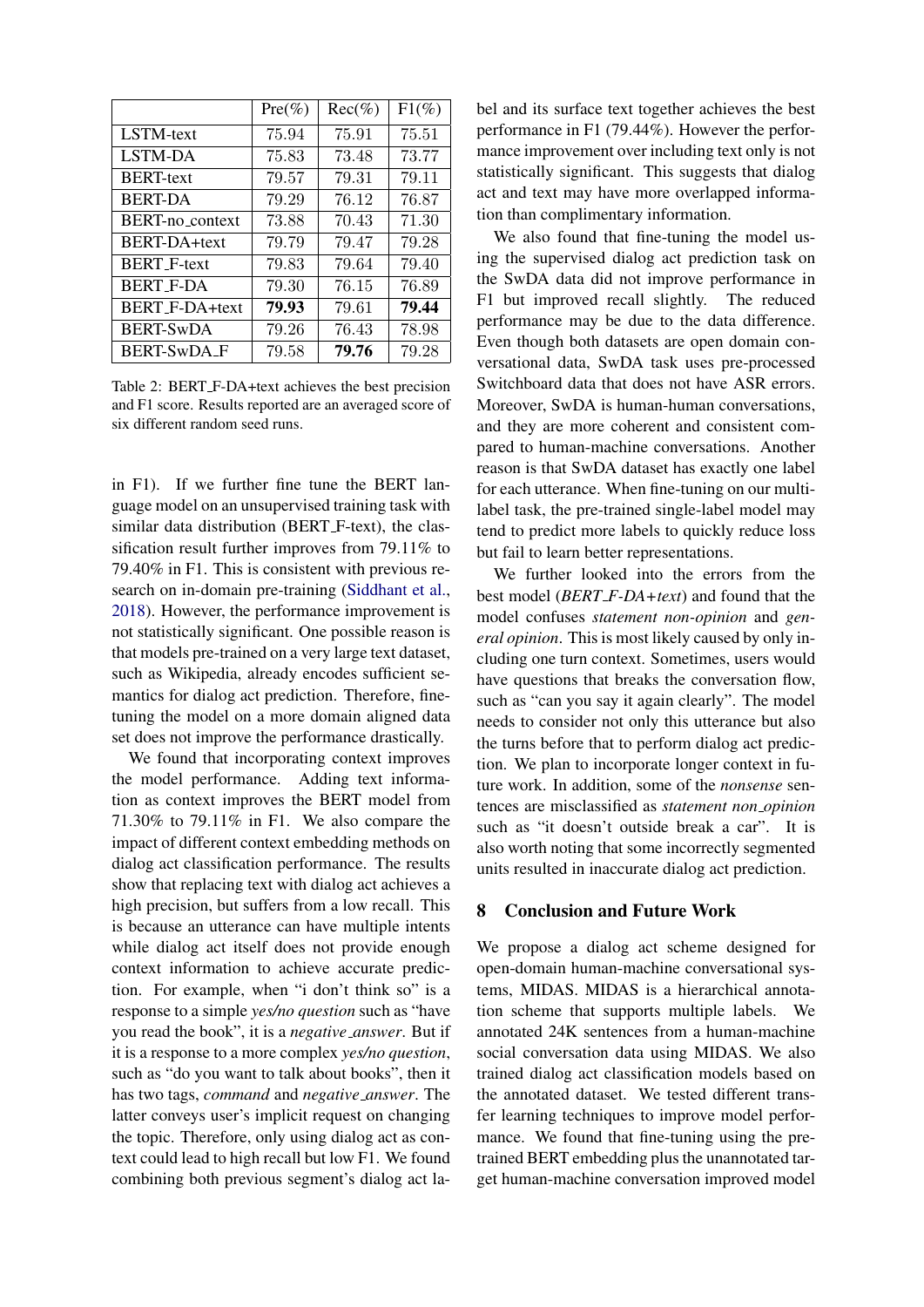<span id="page-7-0"></span>

|                            | $Pre(\%)$ | $Rec(\%)$ | $F1(\%)$ |
|----------------------------|-----------|-----------|----------|
| LSTM-text                  | 75.94     | 75.91     | 75.51    |
| LSTM-DA                    | 75.83     | 73.48     | 73.77    |
| <b>BERT-text</b>           | 79.57     | 79.31     | 79.11    |
| <b>BERT-DA</b>             | 79.29     | 76.12     | 76.87    |
| BERT-no <sub>context</sub> | 73.88     | 70.43     | 71.30    |
| <b>BERT-DA+text</b>        | 79.79     | 79.47     | 79.28    |
| <b>BERT_F-text</b>         | 79.83     | 79.64     | 79.40    |
| BERT_F-DA                  | 79.30     | 76.15     | 76.89    |
| <b>BERT F-DA+text</b>      | 79.93     | 79.61     | 79.44    |
| BERT-SwDA                  | 79.26     | 76.43     | 78.98    |
| <b>BERT-SWDA F</b>         | 79.58     | 79.76     | 79.28    |

Table 2: BERT F-DA+text achieves the best precision and F1 score. Results reported are an averaged score of six different random seed runs.

in F1). If we further fine tune the BERT language model on an unsupervised training task with similar data distribution (BERT\_F-text), the classification result further improves from 79.11% to 79.40% in F1. This is consistent with previous research on in-domain pre-training [\(Siddhant et al.,](#page-9-5) [2018\)](#page-9-5). However, the performance improvement is not statistically significant. One possible reason is that models pre-trained on a very large text dataset, such as Wikipedia, already encodes sufficient semantics for dialog act prediction. Therefore, finetuning the model on a more domain aligned data set does not improve the performance drastically.

We found that incorporating context improves the model performance. Adding text information as context improves the BERT model from 71.30% to 79.11% in F1. We also compare the impact of different context embedding methods on dialog act classification performance. The results show that replacing text with dialog act achieves a high precision, but suffers from a low recall. This is because an utterance can have multiple intents while dialog act itself does not provide enough context information to achieve accurate prediction. For example, when "i don't think so" is a response to a simple *yes/no question* such as "have you read the book", it is a *negative answer*. But if it is a response to a more complex *yes/no question*, such as "do you want to talk about books", then it has two tags, *command* and *negative answer*. The latter conveys user's implicit request on changing the topic. Therefore, only using dialog act as context could lead to high recall but low F1. We found combining both previous segment's dialog act label and its surface text together achieves the best performance in F1 (79.44%). However the performance improvement over including text only is not statistically significant. This suggests that dialog act and text may have more overlapped information than complimentary information.

We also found that fine-tuning the model using the supervised dialog act prediction task on the SwDA data did not improve performance in F1 but improved recall slightly. The reduced performance may be due to the data difference. Even though both datasets are open domain conversational data, SwDA task uses pre-processed Switchboard data that does not have ASR errors. Moreover, SwDA is human-human conversations, and they are more coherent and consistent compared to human-machine conversations. Another reason is that SwDA dataset has exactly one label for each utterance. When fine-tuning on our multilabel task, the pre-trained single-label model may tend to predict more labels to quickly reduce loss but fail to learn better representations.

We further looked into the errors from the best model (*BERT F-DA+text*) and found that the model confuses *statement non-opinion* and *general opinion*. This is most likely caused by only including one turn context. Sometimes, users would have questions that breaks the conversation flow, such as "can you say it again clearly". The model needs to consider not only this utterance but also the turns before that to perform dialog act prediction. We plan to incorporate longer context in future work. In addition, some of the *nonsense* sentences are misclassified as *statement non opinion* such as "it doesn't outside break a car". It is also worth noting that some incorrectly segmented units resulted in inaccurate dialog act prediction.

### 8 Conclusion and Future Work

We propose a dialog act scheme designed for open-domain human-machine conversational systems, MIDAS. MIDAS is a hierarchical annotation scheme that supports multiple labels. We annotated 24K sentences from a human-machine social conversation data using MIDAS. We also trained dialog act classification models based on the annotated dataset. We tested different transfer learning techniques to improve model performance. We found that fine-tuning using the pretrained BERT embedding plus the unannotated target human-machine conversation improved model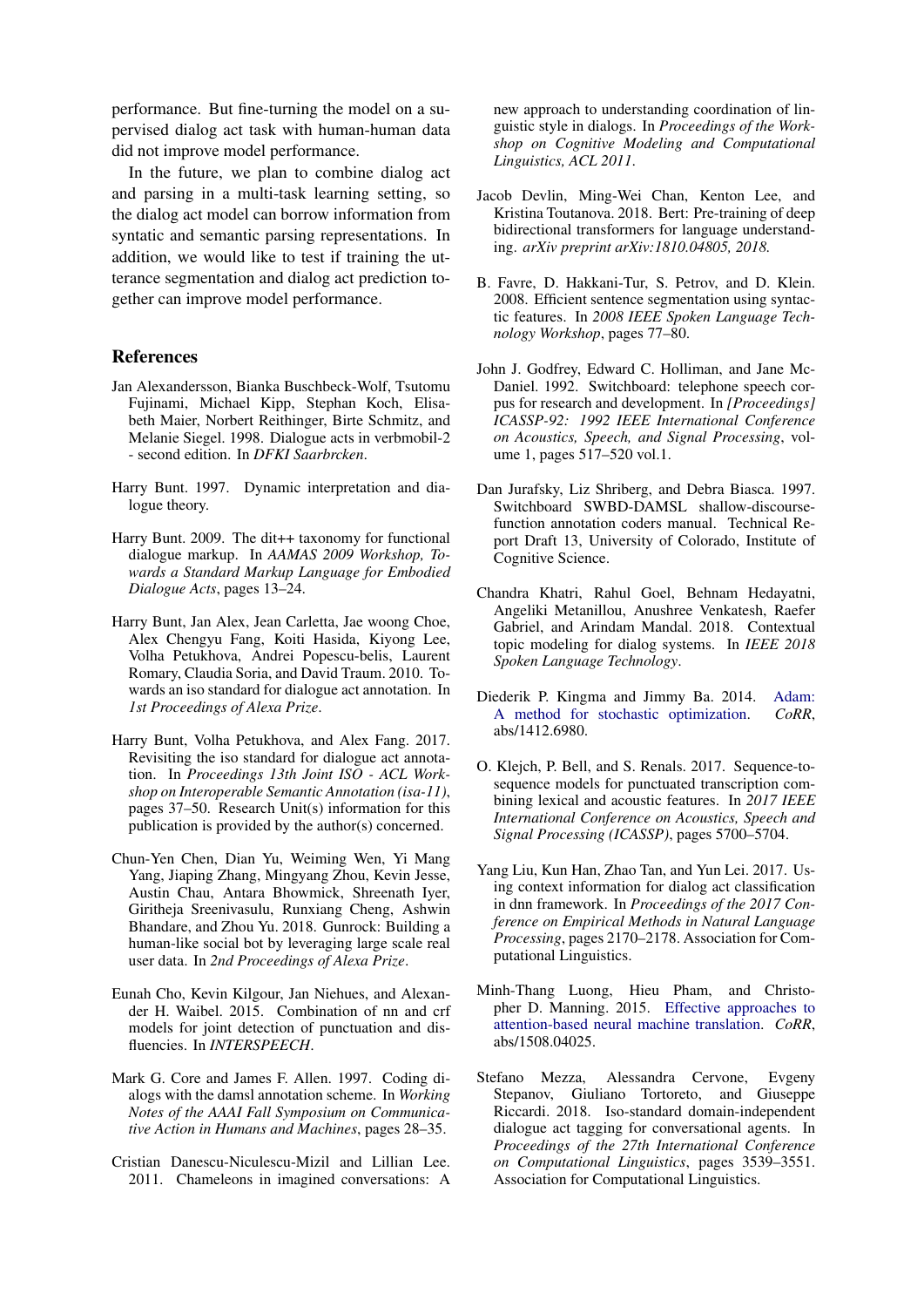performance. But fine-turning the model on a supervised dialog act task with human-human data did not improve model performance.

In the future, we plan to combine dialog act and parsing in a multi-task learning setting, so the dialog act model can borrow information from syntatic and semantic parsing representations. In addition, we would like to test if training the utterance segmentation and dialog act prediction together can improve model performance.

#### References

- <span id="page-8-4"></span>Jan Alexandersson, Bianka Buschbeck-Wolf, Tsutomu Fujinami, Michael Kipp, Stephan Koch, Elisabeth Maier, Norbert Reithinger, Birte Schmitz, and Melanie Siegel. 1998. Dialogue acts in verbmobil-2 - second edition. In *DFKI Saarbrcken*.
- <span id="page-8-9"></span>Harry Bunt. 1997. Dynamic interpretation and dialogue theory.
- <span id="page-8-8"></span>Harry Bunt. 2009. The dit++ taxonomy for functional dialogue markup. In *AAMAS 2009 Workshop, Towards a Standard Markup Language for Embodied Dialogue Acts*, pages 13–24.
- <span id="page-8-1"></span>Harry Bunt, Jan Alex, Jean Carletta, Jae woong Choe, Alex Chengyu Fang, Koiti Hasida, Kiyong Lee, Volha Petukhova, Andrei Popescu-belis, Laurent Romary, Claudia Soria, and David Traum. 2010. Towards an iso standard for dialogue act annotation. In *1st Proceedings of Alexa Prize*.
- <span id="page-8-10"></span>Harry Bunt, Volha Petukhova, and Alex Fang. 2017. Revisiting the iso standard for dialogue act annotation. In *Proceedings 13th Joint ISO - ACL Workshop on Interoperable Semantic Annotation (isa-11)*, pages 37–50. Research Unit(s) information for this publication is provided by the author(s) concerned.
- <span id="page-8-2"></span>Chun-Yen Chen, Dian Yu, Weiming Wen, Yi Mang Yang, Jiaping Zhang, Mingyang Zhou, Kevin Jesse, Austin Chau, Antara Bhowmick, Shreenath Iyer, Giritheja Sreenivasulu, Runxiang Cheng, Ashwin Bhandare, and Zhou Yu. 2018. Gunrock: Building a human-like social bot by leveraging large scale real user data. In *2nd Proceedings of Alexa Prize*.
- <span id="page-8-11"></span>Eunah Cho, Kevin Kilgour, Jan Niehues, and Alexander H. Waibel. 2015. Combination of nn and crf models for joint detection of punctuation and disfluencies. In *INTERSPEECH*.
- <span id="page-8-5"></span>Mark G. Core and James F. Allen. 1997. Coding dialogs with the damsl annotation scheme. In *Working Notes of the AAAI Fall Symposium on Communicative Action in Humans and Machines*, pages 28–35.
- <span id="page-8-13"></span>Cristian Danescu-Niculescu-Mizil and Lillian Lee. 2011. Chameleons in imagined conversations: A

new approach to understanding coordination of linguistic style in dialogs. In *Proceedings of the Workshop on Cognitive Modeling and Computational Linguistics, ACL 2011*.

- <span id="page-8-17"></span>Jacob Devlin, Ming-Wei Chan, Kenton Lee, and Kristina Toutanova. 2018. Bert: Pre-training of deep bidirectional transformers for language understanding. *arXiv preprint arXiv:1810.04805, 2018.*
- <span id="page-8-12"></span>B. Favre, D. Hakkani-Tur, S. Petrov, and D. Klein. 2008. Efficient sentence segmentation using syntactic features. In *2008 IEEE Spoken Language Technology Workshop*, pages 77–80.
- <span id="page-8-6"></span>John J. Godfrey, Edward C. Holliman, and Jane Mc-Daniel. 1992. Switchboard: telephone speech corpus for research and development. In *[Proceedings] ICASSP-92: 1992 IEEE International Conference on Acoustics, Speech, and Signal Processing*, volume 1, pages 517–520 vol.1.
- <span id="page-8-0"></span>Dan Jurafsky, Liz Shriberg, and Debra Biasca. 1997. Switchboard SWBD-DAMSL shallow-discoursefunction annotation coders manual. Technical Report Draft 13, University of Colorado, Institute of Cognitive Science.
- <span id="page-8-7"></span>Chandra Khatri, Rahul Goel, Behnam Hedayatni, Angeliki Metanillou, Anushree Venkatesh, Raefer Gabriel, and Arindam Mandal. 2018. Contextual topic modeling for dialog systems. In *IEEE 2018 Spoken Language Technology*.
- <span id="page-8-18"></span>Diederik P. Kingma and Jimmy Ba. 2014. [Adam:](http://arxiv.org/abs/1412.6980) [A method for stochastic optimization.](http://arxiv.org/abs/1412.6980) *CoRR*, abs/1412.6980.
- <span id="page-8-14"></span>O. Klejch, P. Bell, and S. Renals. 2017. Sequence-tosequence models for punctuated transcription combining lexical and acoustic features. In *2017 IEEE International Conference on Acoustics, Speech and Signal Processing (ICASSP)*, pages 5700–5704.
- <span id="page-8-16"></span>Yang Liu, Kun Han, Zhao Tan, and Yun Lei. 2017. Using context information for dialog act classification in dnn framework. In *Proceedings of the 2017 Conference on Empirical Methods in Natural Language Processing*, pages 2170–2178. Association for Computational Linguistics.
- <span id="page-8-15"></span>Minh-Thang Luong, Hieu Pham, and Christopher D. Manning. 2015. [Effective approaches to](http://arxiv.org/abs/1508.04025) [attention-based neural machine translation.](http://arxiv.org/abs/1508.04025) *CoRR*, abs/1508.04025.
- <span id="page-8-3"></span>Stefano Mezza, Alessandra Cervone, Evgeny Stepanov, Giuliano Tortoreto, and Giuseppe Riccardi. 2018. Iso-standard domain-independent dialogue act tagging for conversational agents. In *Proceedings of the 27th International Conference on Computational Linguistics*, pages 3539–3551. Association for Computational Linguistics.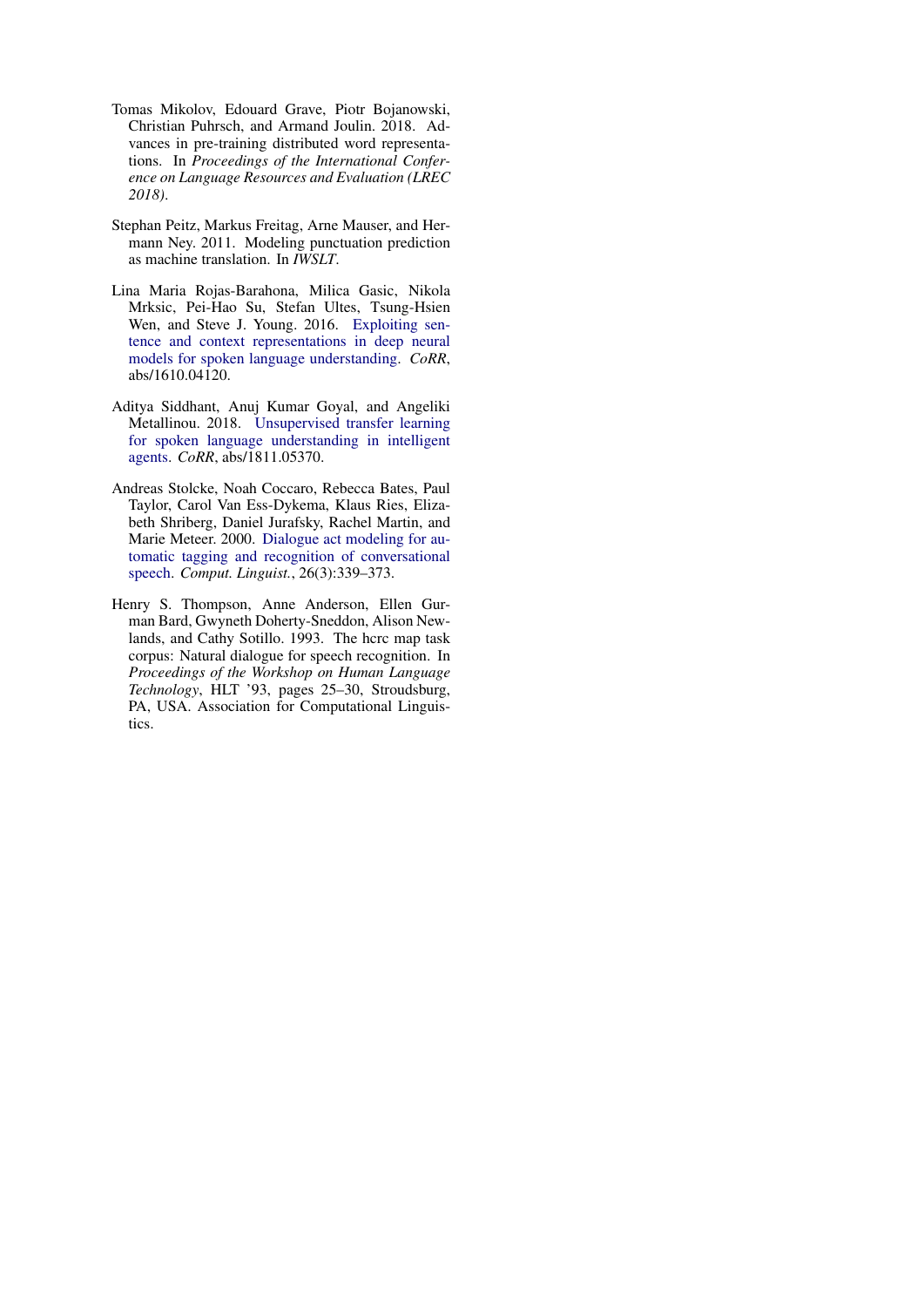- <span id="page-9-3"></span>Tomas Mikolov, Edouard Grave, Piotr Bojanowski, Christian Puhrsch, and Armand Joulin. 2018. Advances in pre-training distributed word representations. In *Proceedings of the International Conference on Language Resources and Evaluation (LREC 2018)*.
- <span id="page-9-2"></span>Stephan Peitz, Markus Freitag, Arne Mauser, and Hermann Ney. 2011. Modeling punctuation prediction as machine translation. In *IWSLT*.
- <span id="page-9-4"></span>Lina Maria Rojas-Barahona, Milica Gasic, Nikola Mrksic, Pei-Hao Su, Stefan Ultes, Tsung-Hsien Wen, and Steve J. Young. 2016. [Exploiting sen](http://arxiv.org/abs/1610.04120)[tence and context representations in deep neural](http://arxiv.org/abs/1610.04120) [models for spoken language understanding.](http://arxiv.org/abs/1610.04120) *CoRR*, abs/1610.04120.
- <span id="page-9-5"></span>Aditya Siddhant, Anuj Kumar Goyal, and Angeliki Metallinou. 2018. [Unsupervised transfer learning](http://arxiv.org/abs/1811.05370) [for spoken language understanding in intelligent](http://arxiv.org/abs/1811.05370) [agents.](http://arxiv.org/abs/1811.05370) *CoRR*, abs/1811.05370.
- <span id="page-9-1"></span>Andreas Stolcke, Noah Coccaro, Rebecca Bates, Paul Taylor, Carol Van Ess-Dykema, Klaus Ries, Elizabeth Shriberg, Daniel Jurafsky, Rachel Martin, and Marie Meteer. 2000. [Dialogue act modeling for au](https://doi.org/10.1162/089120100561737)[tomatic tagging and recognition of conversational](https://doi.org/10.1162/089120100561737) [speech.](https://doi.org/10.1162/089120100561737) *Comput. Linguist.*, 26(3):339–373.
- <span id="page-9-0"></span>Henry S. Thompson, Anne Anderson, Ellen Gurman Bard, Gwyneth Doherty-Sneddon, Alison Newlands, and Cathy Sotillo. 1993. The hcrc map task corpus: Natural dialogue for speech recognition. In *Proceedings of the Workshop on Human Language Technology*, HLT '93, pages 25–30, Stroudsburg, PA, USA. Association for Computational Linguistics.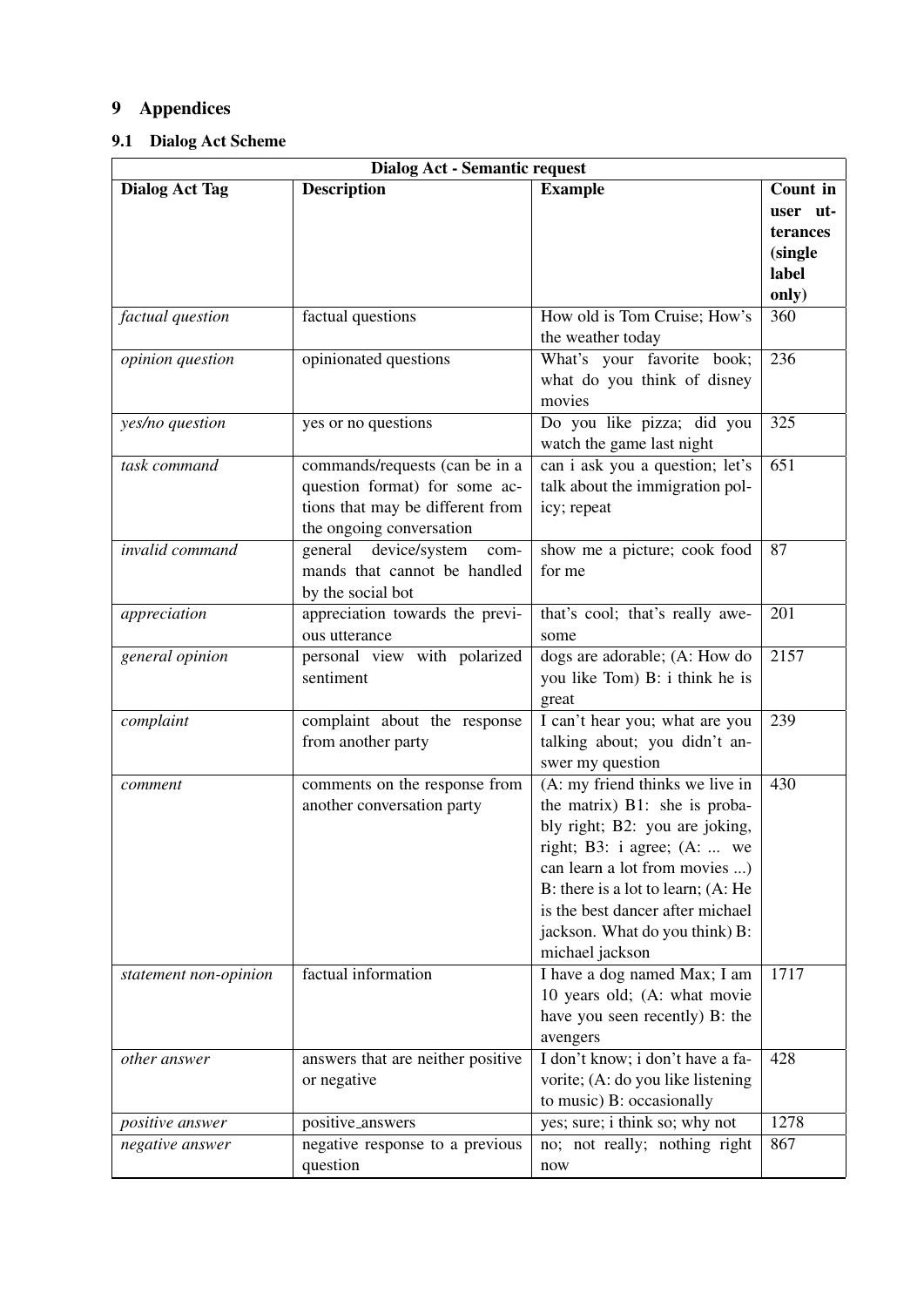# 9 Appendices

## <span id="page-10-0"></span>9.1 Dialog Act Scheme

| <b>Dialog Act - Semantic request</b> |                                   |                                    |                  |  |
|--------------------------------------|-----------------------------------|------------------------------------|------------------|--|
| <b>Dialog Act Tag</b>                | <b>Description</b>                | <b>Example</b>                     | Count in         |  |
|                                      |                                   |                                    | user ut-         |  |
|                                      |                                   |                                    | terances         |  |
|                                      |                                   |                                    | (single          |  |
|                                      |                                   |                                    | label            |  |
|                                      |                                   |                                    | only)            |  |
| factual question                     | factual questions                 | How old is Tom Cruise; How's       | 360              |  |
|                                      |                                   | the weather today                  |                  |  |
| opinion question                     | opinionated questions             | What's your favorite book;         | 236              |  |
|                                      |                                   | what do you think of disney        |                  |  |
|                                      |                                   | movies                             |                  |  |
| yes/no question                      | yes or no questions               | Do you like pizza; did you         | 325              |  |
|                                      |                                   | watch the game last night          |                  |  |
| task command                         | commands/requests (can be in a    | can i ask you a question; let's    | $\overline{651}$ |  |
|                                      | question format) for some ac-     | talk about the immigration pol-    |                  |  |
|                                      | tions that may be different from  | icy; repeat                        |                  |  |
|                                      | the ongoing conversation          |                                    |                  |  |
| invalid command                      | device/system<br>general<br>com-  | show me a picture; cook food       | 87               |  |
|                                      | mands that cannot be handled      | for me                             |                  |  |
|                                      | by the social bot                 |                                    |                  |  |
| appreciation                         | appreciation towards the previ-   | that's cool; that's really awe-    | 201              |  |
|                                      | ous utterance                     | some                               |                  |  |
| general opinion                      | personal view with polarized      | dogs are adorable; (A: How do      | 2157             |  |
|                                      | sentiment                         | you like Tom) B: i think he is     |                  |  |
|                                      |                                   | great                              |                  |  |
| complaint                            | complaint about the response      | I can't hear you; what are you     | 239              |  |
|                                      | from another party                | talking about; you didn't an-      |                  |  |
|                                      |                                   | swer my question                   |                  |  |
| comment                              | comments on the response from     | (A: my friend thinks we live in    | 430              |  |
|                                      | another conversation party        | the matrix) B1: she is proba-      |                  |  |
|                                      |                                   | bly right; B2: you are joking,     |                  |  |
|                                      |                                   | right; B3: i agree; (A:  we        |                  |  |
|                                      |                                   | can learn a lot from movies )      |                  |  |
|                                      |                                   | B: there is a lot to learn; (A: He |                  |  |
|                                      |                                   | is the best dancer after michael   |                  |  |
|                                      |                                   | jackson. What do you think) B:     |                  |  |
|                                      |                                   | michael jackson                    |                  |  |
| statement non-opinion                | factual information               | I have a dog named Max; I am       | 1717             |  |
|                                      |                                   | 10 years old; (A: what movie       |                  |  |
|                                      |                                   | have you seen recently) B: the     |                  |  |
|                                      |                                   | avengers                           |                  |  |
| other answer                         | answers that are neither positive | I don't know; i don't have a fa-   | 428              |  |
|                                      | or negative                       | vorite; (A: do you like listening  |                  |  |
|                                      |                                   | to music) B: occasionally          |                  |  |
| <i>positive answer</i>               | positive_answers                  | yes; sure; i think so; why not     | 1278             |  |
| negative answer                      | negative response to a previous   | no; not really; nothing right      | 867              |  |
|                                      | question                          | now                                |                  |  |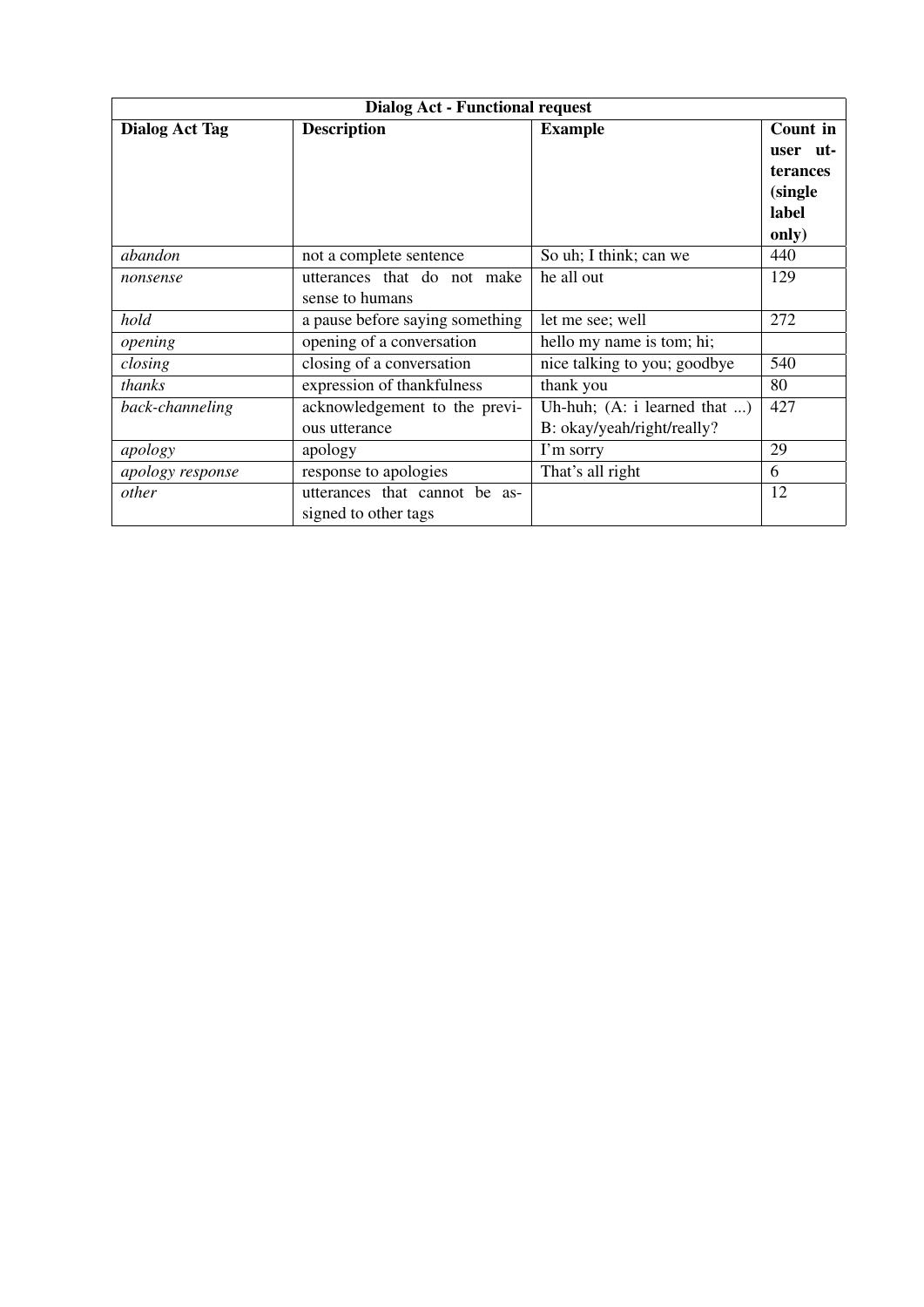| <b>Dialog Act - Functional request</b> |                                 |                                |             |  |
|----------------------------------------|---------------------------------|--------------------------------|-------------|--|
| <b>Dialog Act Tag</b>                  | <b>Description</b>              | <b>Example</b>                 | Count in    |  |
|                                        |                                 |                                | ut-<br>user |  |
|                                        |                                 |                                | terances    |  |
|                                        |                                 |                                | (single)    |  |
|                                        |                                 |                                | label       |  |
|                                        |                                 |                                | only)       |  |
| abandon                                | not a complete sentence         | So uh; I think; can we         | 440         |  |
| nonsense                               | utterances that do not make     | he all out                     | 129         |  |
|                                        | sense to humans                 |                                |             |  |
| hold                                   | a pause before saying something | let me see; well               | 272         |  |
| opening                                | opening of a conversation       | hello my name is tom; hi;      |             |  |
| closing                                | closing of a conversation       | nice talking to you; goodbye   | 540         |  |
| thanks                                 | expression of thankfulness      | thank you                      | 80          |  |
| back-channeling                        | acknowledgement to the previ-   | Uh-huh; $(A: i learned that )$ | 427         |  |
|                                        | ous utterance                   | B: okay/yeah/right/really?     |             |  |
| apology                                | apology                         | I'm sorry                      | 29          |  |
| apology response                       | response to apologies           | That's all right               | 6           |  |
| other                                  | utterances that cannot be as-   |                                | 12          |  |
|                                        | signed to other tags            |                                |             |  |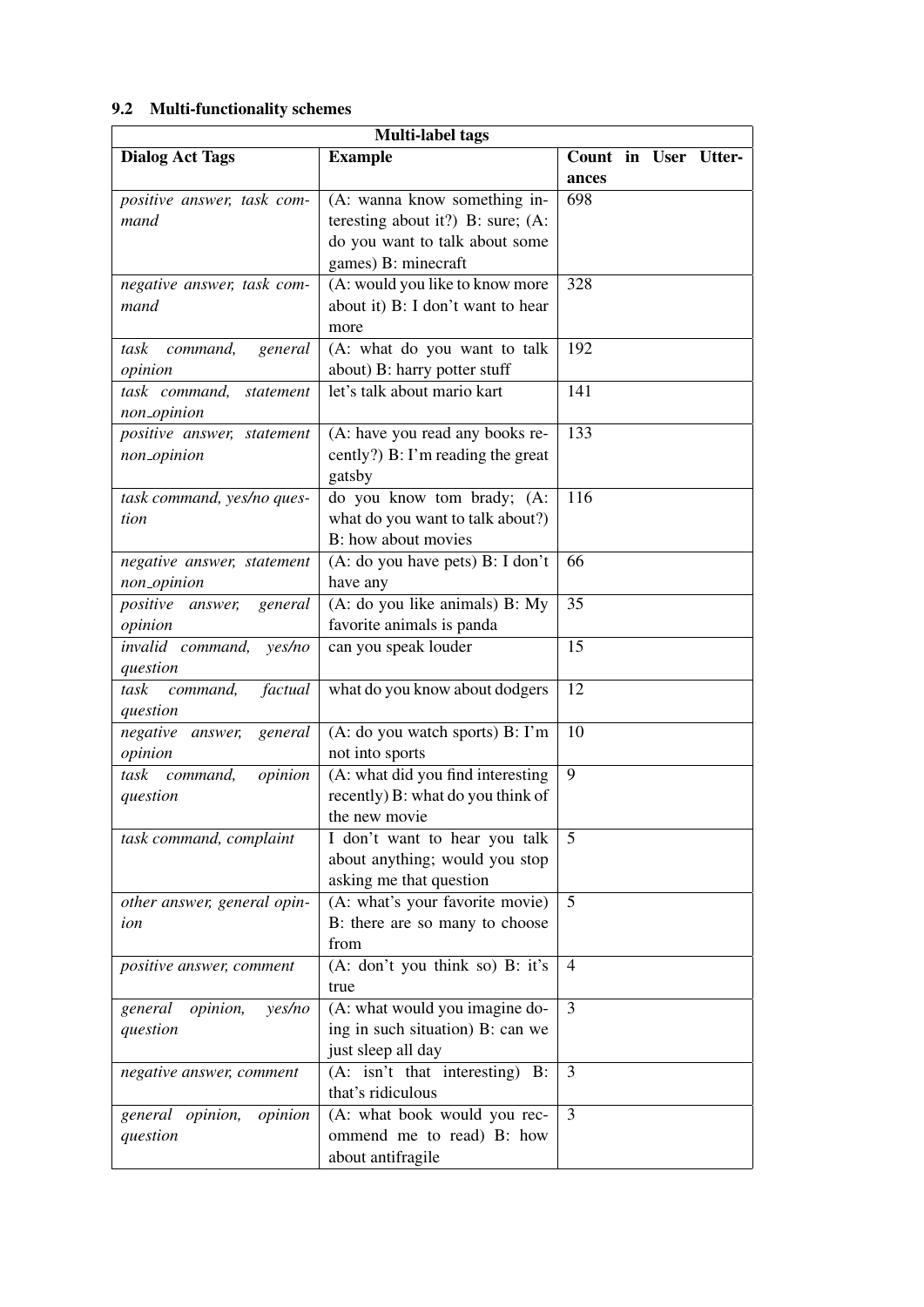## <span id="page-12-0"></span>9.2 Multi-functionality schemes

| <b>Multi-label tags</b>               |                                     |                  |  |  |                      |
|---------------------------------------|-------------------------------------|------------------|--|--|----------------------|
| <b>Dialog Act Tags</b>                | <b>Example</b>                      |                  |  |  | Count in User Utter- |
|                                       |                                     | ances            |  |  |                      |
| positive answer, task com-            | (A: wanna know something in-        | 698              |  |  |                      |
| mand                                  | teresting about it?) B: sure; $(A:$ |                  |  |  |                      |
|                                       | do you want to talk about some      |                  |  |  |                      |
|                                       | games) B: minecraft                 |                  |  |  |                      |
| negative answer, task com-            | (A: would you like to know more     | 328              |  |  |                      |
| mand                                  | about it) B: I don't want to hear   |                  |  |  |                      |
|                                       | more                                |                  |  |  |                      |
| command,<br>task<br>general           | (A: what do you want to talk        | 192              |  |  |                      |
| opinion                               | about) B: harry potter stuff        |                  |  |  |                      |
| task command,<br>statement            | let's talk about mario kart         | 141              |  |  |                      |
| non_opinion                           |                                     |                  |  |  |                      |
| positive answer, statement            | (A: have you read any books re-     | 133              |  |  |                      |
| non_opinion                           | cently?) B: I'm reading the great   |                  |  |  |                      |
|                                       | gatsby                              |                  |  |  |                      |
| task command, yes/no ques-            | do you know tom brady; (A:          | $11\overline{6}$ |  |  |                      |
| tion                                  | what do you want to talk about?)    |                  |  |  |                      |
|                                       | B: how about movies                 |                  |  |  |                      |
| negative answer, statement            | (A: do you have pets) B: I don't    | 66               |  |  |                      |
| non_opinion                           | have any                            |                  |  |  |                      |
| <i>positive answer,</i><br>general    | (A: do you like animals) B: My      | 35               |  |  |                      |
| opinion                               | favorite animals is panda           |                  |  |  |                      |
| invalid command,<br>yes/no            | can you speak louder                | 15               |  |  |                      |
| question                              |                                     |                  |  |  |                      |
| task<br>command,<br>factual           | what do you know about dodgers      | 12               |  |  |                      |
| question<br>negative answer,          | (A: do you watch sports) B: I'm     | 10               |  |  |                      |
| general<br>opinion                    | not into sports                     |                  |  |  |                      |
| task<br>command,<br>opinion           | (A: what did you find interesting   | $\overline{9}$   |  |  |                      |
| question                              | recently) B: what do you think of   |                  |  |  |                      |
|                                       | the new movie                       |                  |  |  |                      |
| task command, complaint               | I don't want to hear you talk       | 5                |  |  |                      |
|                                       | about anything; would you stop      |                  |  |  |                      |
|                                       | asking me that question             |                  |  |  |                      |
| other answer, general opin-           | (A: what's your favorite movie)     | 5                |  |  |                      |
| ion                                   | B: there are so many to choose      |                  |  |  |                      |
|                                       | from                                |                  |  |  |                      |
| positive answer, comment              | (A: don't you think so) B: it's     | $\overline{4}$   |  |  |                      |
|                                       | true                                |                  |  |  |                      |
| general<br><i>opinion</i> ,<br>yes/no | (A: what would you imagine do-      | $\overline{3}$   |  |  |                      |
| question                              | ing in such situation) B: can we    |                  |  |  |                      |
|                                       | just sleep all day                  |                  |  |  |                      |
| negative answer, comment              | (A: isn't that interesting) B:      | 3                |  |  |                      |
|                                       | that's ridiculous                   |                  |  |  |                      |
| general opinion,<br>opinion           | (A: what book would you rec-        | 3                |  |  |                      |
| question                              | ommend me to read) B: how           |                  |  |  |                      |
|                                       | about antifragile                   |                  |  |  |                      |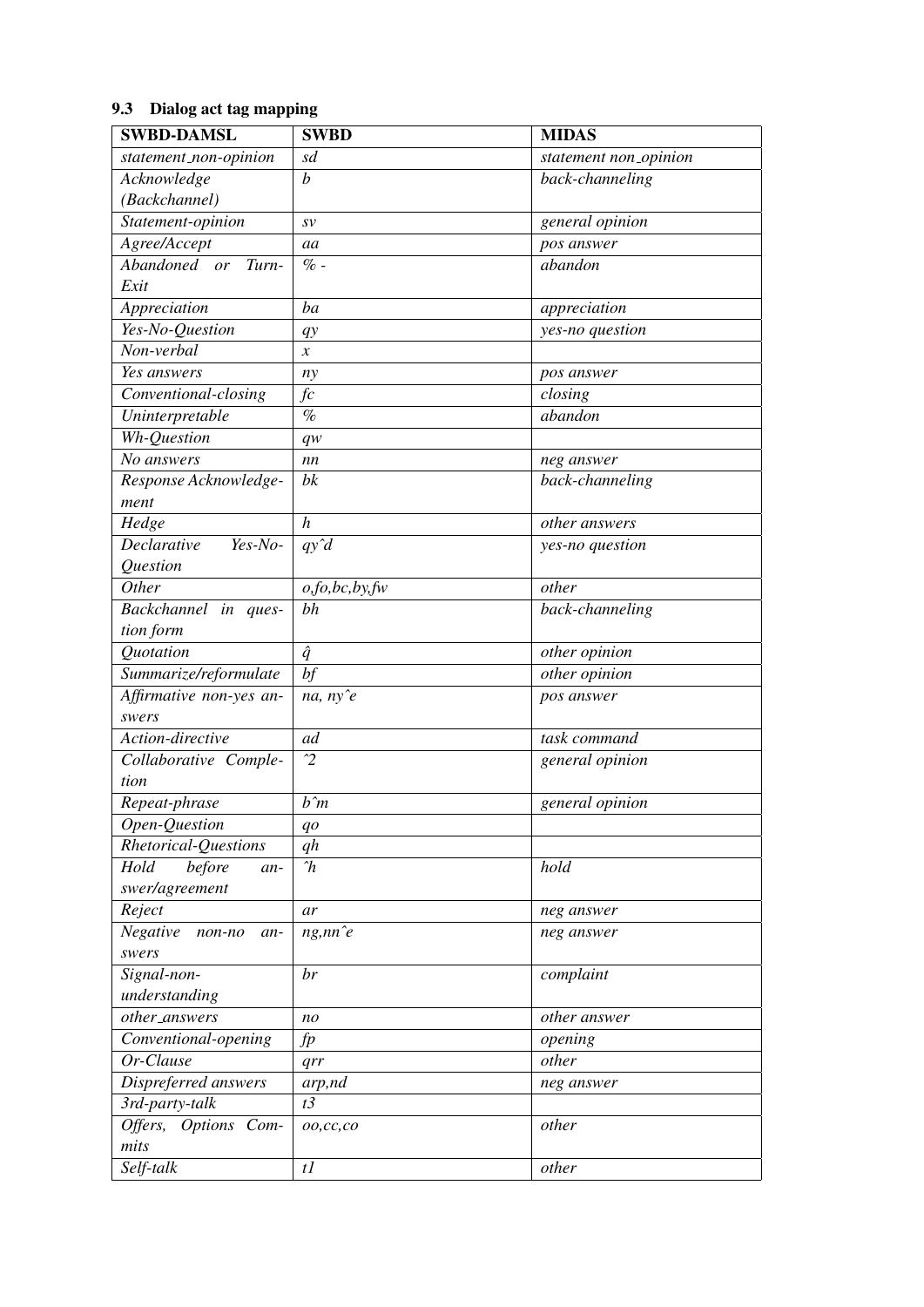# <span id="page-13-0"></span>9.3 Dialog act tag mapping

| <b>SWBD-DAMSL</b>           | <b>SWBD</b>       | <b>MIDAS</b>          |
|-----------------------------|-------------------|-----------------------|
| statement_non-opinion       | sd                | statement non_opinion |
| Acknowledge                 | $\boldsymbol{b}$  | back-channeling       |
| (Backchannel)               |                   |                       |
| Statement-opinion           | S V               | general opinion       |
| Agree/Accept                | aa                | pos answer            |
| Abandoned or<br>Turn-       | $% -$             | abandon               |
| Exit                        |                   |                       |
| Appreciation                | ba                | appreciation          |
| Yes-No-Question             | $q$ y             | yes-no question       |
| Non-verbal                  | $\boldsymbol{x}$  |                       |
| Yes answers                 | ny                | pos answer            |
| Conventional-closing        | fc                | closing               |
| Uninterpretable             | $\%$              | abandon               |
| Wh-Question                 | $q_{W}$           |                       |
| No answers                  | nn                | neg answer            |
| Response Acknowledge-       | bk                | back-channeling       |
| ment                        |                   |                       |
| Hedge                       | $\boldsymbol{h}$  | other answers         |
| Declarative<br>Yes-No-      | $q\hat{y}d$       | yes-no question       |
| Question                    |                   |                       |
| Other                       | o, fo, bc, by, fw | other                 |
| Backchannel in<br>ques-     | bh                | back-channeling       |
| tion form                   |                   |                       |
| Quotation                   | $\hat{q}$         | other opinion         |
| Summarize/reformulate       | $\overline{bf}$   | other opinion         |
| Affirmative non-yes an-     | na, $ny \hat{e}$  | pos answer            |
| swers                       |                   |                       |
| Action-directive            | ad                | task command          |
| Collaborative Comple-       | $\gamma$          | general opinion       |
| tion                        |                   |                       |
| Repeat-phrase               | $b\hat{}$ m       | general opinion       |
| Open-Question               | qo                |                       |
| Rhetorical-Questions        | qh                |                       |
| before<br>Hold<br>an-       | $\gamma$          | hold                  |
| swer/agreement              |                   |                       |
| Reject                      | ar                | neg answer            |
| Negative<br>non-no<br>$an-$ | $ng, nn \hat{e}$  | neg answer            |
| swers                       |                   |                       |
| Signal-non-                 | br                | complaint             |
| understanding               |                   |                       |
| other_answers               | n <sub>O</sub>    | other answer          |
| Conventional-opening        | fp                | opening               |
| Or-Clause                   | qrr               | other                 |
| Dispreferred answers        | arp,nd            | neg answer            |
| 3rd-party-talk              | t3                |                       |
| Offers, Options Com-        | oo, cc, co        | other                 |
| mits                        |                   |                       |
| Self-talk                   | $t\bar{l}$        | other                 |